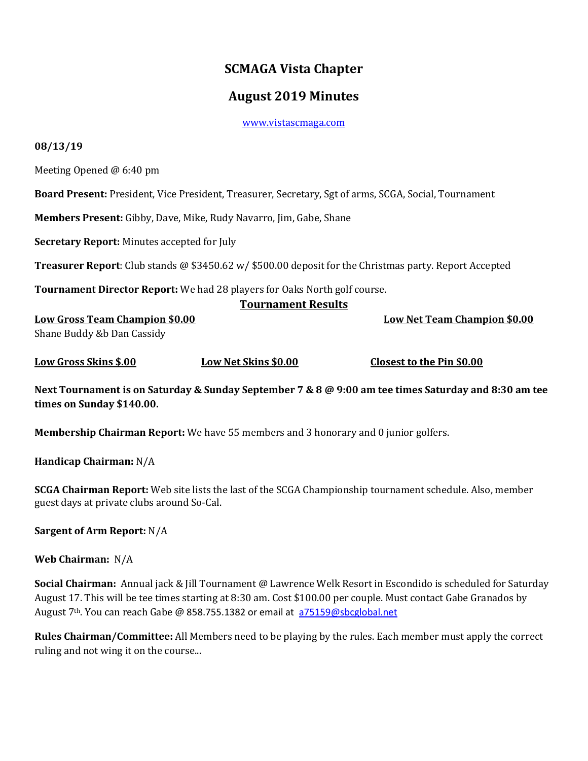# **SCMAGA Vista Chapter**

## **August 2019 Minutes**

[www.vistascmaga.com](http://www.vistascmaga.com/)

#### **08/13/19**

Meeting Opened @ 6:40 pm

**Board Present:** President, Vice President, Treasurer, Secretary, Sgt of arms, SCGA, Social, Tournament

**Members Present:** Gibby, Dave, Mike, Rudy Navarro, Jim, Gabe, Shane

**Secretary Report:** Minutes accepted for July

**Treasurer Report**: Club stands @ \$3450.62 w/ \$500.00 deposit for the Christmas party. Report Accepted

**Tournament Director Report:** We had 28 players for Oaks North golf course.

## **Tournament Results Low Gross Team Champion \$0.00 Low Net Team Champion \$0.00**

Shane Buddy &b Dan Cassidy

**Low Gross Skins \$.00 Low Net Skins \$0.00 Closest to the Pin \$0.00** 

**Next Tournament is on Saturday & Sunday September 7 & 8 @ 9:00 am tee times Saturday and 8:30 am tee times on Sunday \$140.00.** 

**Membership Chairman Report:** We have 55 members and 3 honorary and 0 junior golfers.

**Handicap Chairman:** N/A

**SCGA Chairman Report:** Web site lists the last of the SCGA Championship tournament schedule. Also, member guest days at private clubs around So-Cal.

**Sargent of Arm Report:** N/A

### **Web Chairman:** N/A

**Social Chairman:** Annual jack & Jill Tournament @ Lawrence Welk Resort in Escondido is scheduled for Saturday August 17. This will be tee times starting at 8:30 am. Cost \$100.00 per couple. Must contact Gabe Granados by August 7th. You can reach Gabe @ 858.755.1382 or email at [a75159@sbcglobal.net](mailto:a75159@sbcglobal.net)

**Rules Chairman/Committee:** All Members need to be playing by the rules. Each member must apply the correct ruling and not wing it on the course...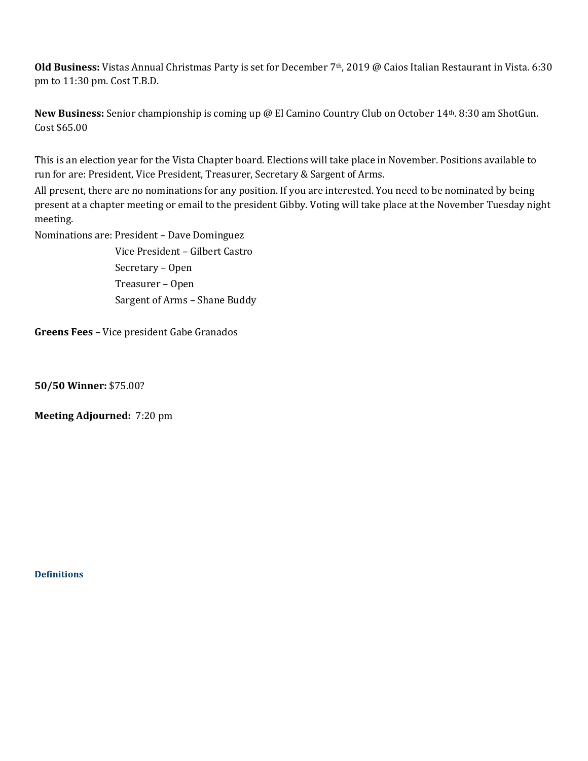**Old Business:** Vistas Annual Christmas Party is set for December 7th, 2019 @ Caios Italian Restaurant in Vista. 6:30 pm to 11:30 pm. Cost T.B.D.

**New Business:** Senior championship is coming up @ El Camino Country Club on October 14th. 8:30 am ShotGun. Cost \$65.00

This is an election year for the Vista Chapter board. Elections will take place in November. Positions available to run for are: President, Vice President, Treasurer, Secretary & Sargent of Arms.

All present, there are no nominations for any position. If you are interested. You need to be nominated by being present at a chapter meeting or email to the president Gibby. Voting will take place at the November Tuesday night meeting.

Nominations are: President – Dave Dominguez

 Vice President – Gilbert Castro Secretary – Open Treasurer – Open Sargent of Arms – Shane Buddy

**Greens Fees** – Vice president Gabe Granados

**50/50 Winner:** \$75.00?

**Meeting Adjourned:** 7:20 pm

**[Definitions](http://www.usga.org/etc/designs/usga/content/rule-book/rule-book-2016/rule-14253.html)**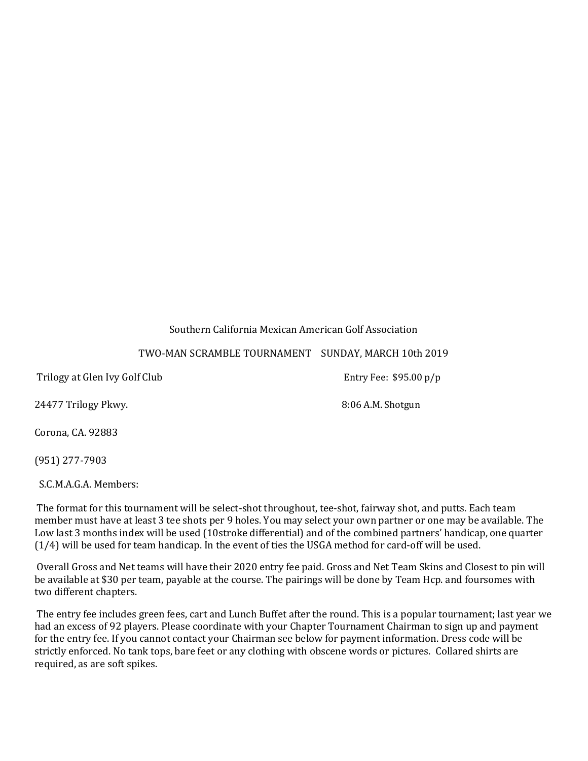### Southern California Mexican American Golf Association

### TWO-MAN SCRAMBLE TOURNAMENT SUNDAY, MARCH 10th 2019

Trilogy at Glen Ivy Golf Club **Entry Fee: \$95.00 p/p** 

24477 Trilogy Pkwy. 24477 Trilogy Pkwy.

Corona, CA. 92883

(951) 277-7903

S.C.M.A.G.A. Members:

The format for this tournament will be select-shot throughout, tee-shot, fairway shot, and putts. Each team member must have at least 3 tee shots per 9 holes. You may select your own partner or one may be available. The Low last 3 months index will be used (10stroke differential) and of the combined partners' handicap, one quarter (1/4) will be used for team handicap. In the event of ties the USGA method for card-off will be used.

Overall Gross and Net teams will have their 2020 entry fee paid. Gross and Net Team Skins and Closest to pin will be available at \$30 per team, payable at the course. The pairings will be done by Team Hcp. and foursomes with two different chapters.

The entry fee includes green fees, cart and Lunch Buffet after the round. This is a popular tournament; last year we had an excess of 92 players. Please coordinate with your Chapter Tournament Chairman to sign up and payment for the entry fee. If you cannot contact your Chairman see below for payment information. Dress code will be strictly enforced. No tank tops, bare feet or any clothing with obscene words or pictures. Collared shirts are required, as are soft spikes.